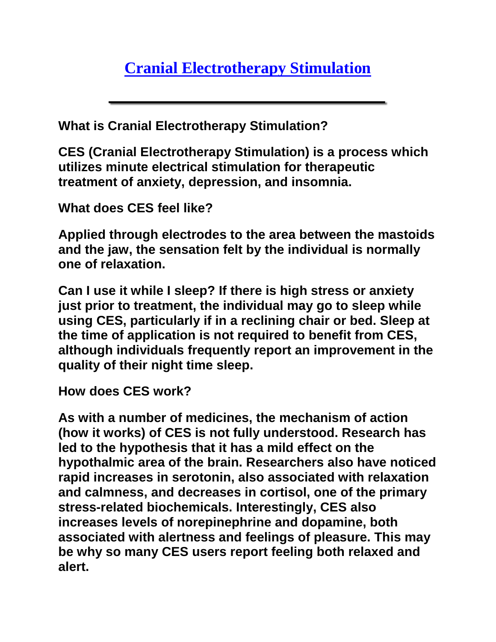**What is Cranial Electrotherapy Stimulation?** 

**CES (Cranial Electrotherapy Stimulation) is a process which utilizes minute electrical stimulation for therapeutic treatment of anxiety, depression, and insomnia.** 

**What does CES feel like?** 

**Applied through electrodes to the area between the mastoids and the jaw, the sensation felt by the individual is normally one of relaxation.** 

**Can I use it while I sleep? If there is high stress or anxiety just prior to treatment, the individual may go to sleep while using CES, particularly if in a reclining chair or bed. Sleep at the time of application is not required to benefit from CES, although individuals frequently report an improvement in the quality of their night time sleep.** 

**How does CES work?** 

**As with a number of medicines, the mechanism of action (how it works) of CES is not fully understood. Research has led to the hypothesis that it has a mild effect on the hypothalmic area of the brain. Researchers also have noticed rapid increases in serotonin, also associated with relaxation and calmness, and decreases in cortisol, one of the primary stress-related biochemicals. Interestingly, CES also increases levels of norepinephrine and dopamine, both associated with alertness and feelings of pleasure. This may be why so many CES users report feeling both relaxed and alert.**